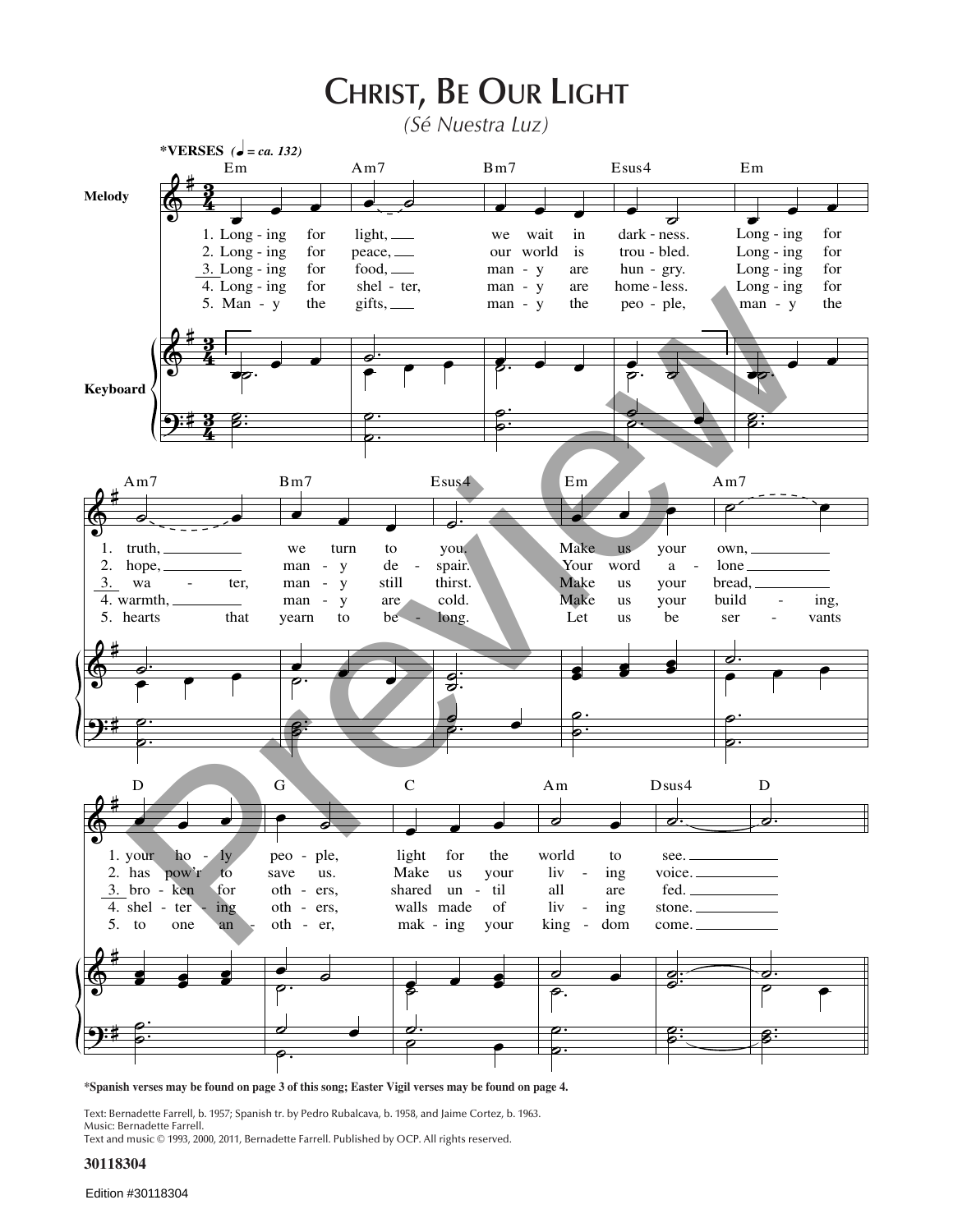## CHRIST, BE OUR LIGHT

(Sé Nuestra Luz)



\*Spanish verses may be found on page 3 of this song; Easter Vigil verses may be found on page 4.

Text: Bernadette Farrell, b. 1957; Spanish tr. by Pedro Rubalcava, b. 1958, and Jaime Cortez, b. 1963. Music: Bernadette Farrell.

Text and music © 1993, 2000, 2011, Bernadette Farrell. Published by OCP. All rights reserved.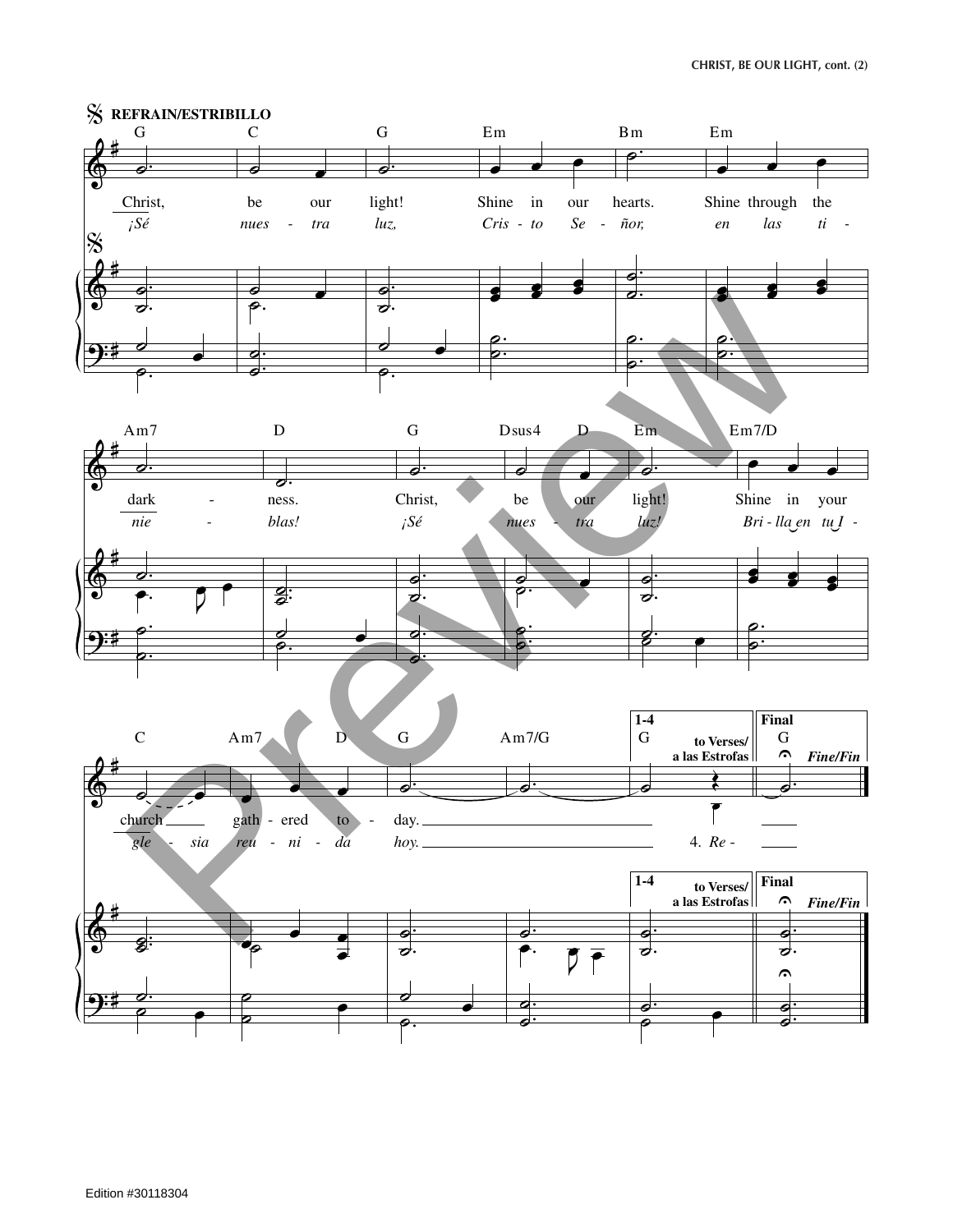**christ, be our light, cont. (2)**

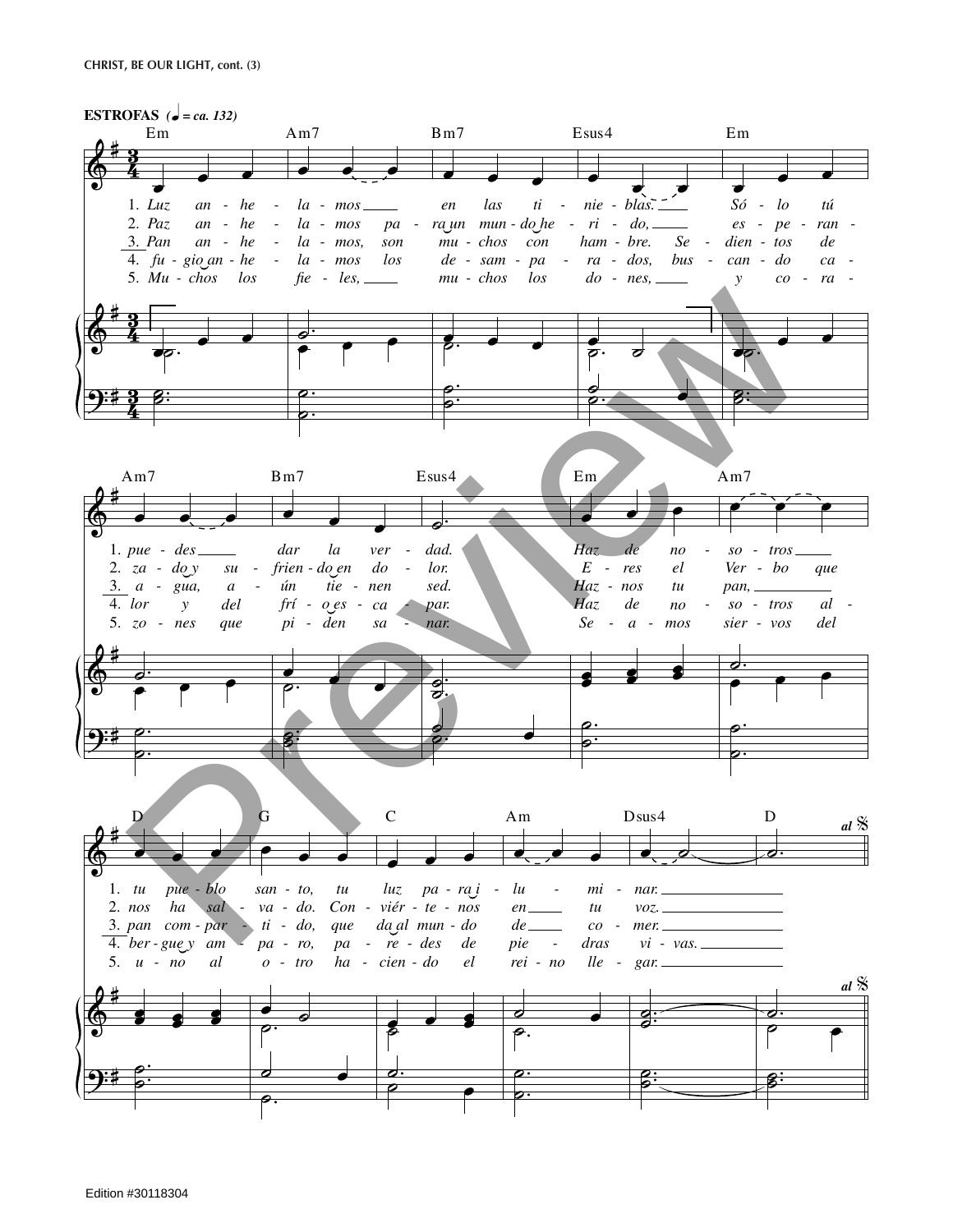